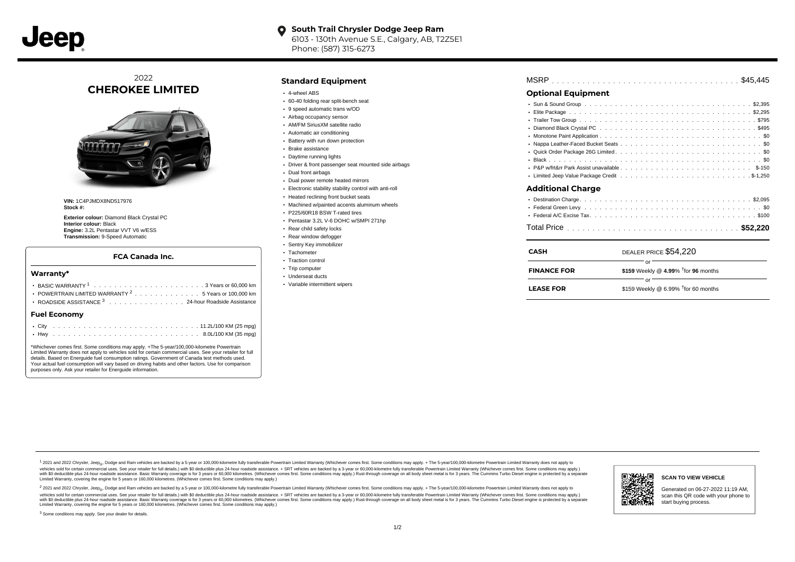

#### **South Trail Chrysler Dodge Jeep Ram**  $\bullet$ 6103 - 130th Avenue S.E., Calgary, AB, T2Z5E1 Phone: (587) 315-6273

2022 **CHEROKEE LIMITED**



**VIN:** 1C4PJMDX8ND517976 **Stock #:**

**Exterior colour:** Diamond Black Crystal PC **Interior colour:** Black **Engine:** 3.2L Pentastar VVT V6 w/ESS **Transmission:** 9-Speed Automatic

### **FCA Canada Inc.**

#### **Warranty\***

| POWERTRAIN LIMITED WARRANTY $2 \ldots \ldots \ldots \ldots \ldots$ 5 Years or 100,000 km<br>ROADSIDE ASSISTANCE 3 24-hour Roadside Assistance | • Variable intermittent wipers | <b>LEASE FOR</b> | \$159 Weekly @ 6.99% $\dagger$ for 60 months |
|-----------------------------------------------------------------------------------------------------------------------------------------------|--------------------------------|------------------|----------------------------------------------|
| <b>Fuel Economy</b>                                                                                                                           |                                |                  |                                              |
|                                                                                                                                               |                                |                  |                                              |
|                                                                                                                                               |                                |                  |                                              |

\*Whichever comes first. Some conditions may apply. +The 5-year/100,000-kilometre Powertrain Limited Warranty does not apply to vehicles sold for certain commercial uses. See your retailer for full details. Based on Energuide fuel consumption ratings. Government of Canada test methods used. Your actual fuel consumption will vary based on driving habits and other factors. Use for comparison purposes only. Ask your retailer for Energuide information.

## **Standard Equipment**

- 4-wheel ABS
- 60-40 folding rear split-bench seat
- 9 speed automatic trans w/OD
- Airbag occupancy sensor
- AM/FM SiriusXM satellite radio
- Automatic air conditioning
- Battery with run down protection
- Brake assistance Daytime running lights
- Driver & front passenger seat mounted side airbags
- Dual front airbags
- 
- Dual power remote heated mirrors
- Electronic stability stability control with anti-roll • Heated reclining front bucket seats
- Machined w/painted accents aluminum wheels
- P225/60R18 BSW T-rated tires
- Pentastar 3.2L V-6 DOHC w/SMPI 271hp
- Rear child safety locks
- Rear window defogger
- Sentry Key immobilizer
- Tachometer
- Traction control
- Trip computer
- Underseat ducts
- Variable intermittent wipers

| <b>Optional Equipment</b> |
|---------------------------|
|                           |
|                           |
| <b>Additional Charge</b>  |
|                           |

| <b>CASH</b>        | DEALER PRICE \$54,220                            |  |
|--------------------|--------------------------------------------------|--|
| <b>FINANCE FOR</b> | \$159 Weekly @ 4.99% $\frac{1}{1}$ for 96 months |  |
| <b>LEASE FOR</b>   | \$159 Weekly @ 6.99% $†$ for 60 months           |  |

. . . . . . . . . . . . . . . . . . . . . . . . . . . . . . . . . . . . . . . . . . . . . . Total Price **\$52,220**

1 2021 and 2022 Chrysler, Jeep<sub>en</sub> Dodge and Ram vehicles are backed by a 5-year or 100,000-kilometre fully transferable Powertrain Limited Warranty (Whichever comes first. Some conditions may apply. + The 5-year/100,000-k vehicles sold for certain commercial uses. See your retailer for full details.) with \$0 deductible plus 24-hour roadside assistance. + SRT vehicles are backed by a 3-year or 60,000-kilometre fully transferable Powertrain L versus and contract the mean of the contract of the contract with a contract with a contract the contract of the search of the contract and a control of the contract and contract and control of the search of the search of Limited Warranty, covering the engine for 5 years or 160,000 kilometres. (Whichever comes first. Some conditions may apply.)

<sup>2</sup> 2021 and 2022 Chrysler, Jeep<sub>®</sub>, Dodge and Ram vehicles are backed by a 5-year or 100,000-kilometre fully transferable Powertrain Limited Warranty (Whichever comes first. Some conditions may apply. + The 5-year/100,000 vehicles sold for certain commercial uses. See your retailer for full details.) with SO deductible plus 24-hour roadside assistance. + SRT vehicles are backed by a 3-year or 60.000-kilometre fully transferable Powertrain L with S0 deductible plus 24-hour roadside assistance. Basic Warranty coverage is for 3 years or 60,000 kilometres. (Whichever comes first. Some conditions may apply.) Rust-through coverage on all body sheet metal is for 3 y



**SCAN TO VIEW VEHICLE**

Generated on 06-27-2022 11:19 AM, scan this QR code with your phone to start buying process.

<sup>3</sup> Some conditions may apply. See your dealer for details.